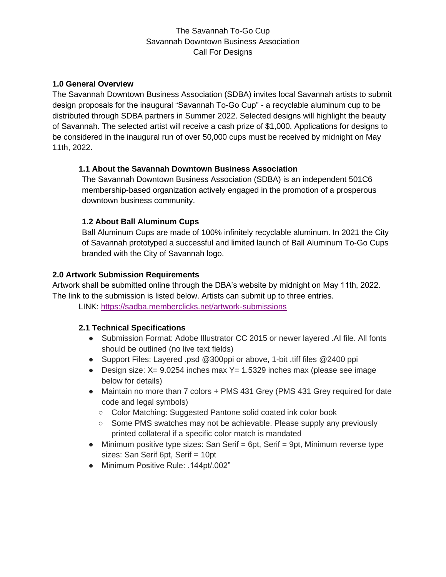# The Savannah To-Go Cup Savannah Downtown Business Association Call For Designs

### **1.0 General Overview**

The Savannah Downtown Business Association (SDBA) invites local Savannah artists to submit design proposals for the inaugural "Savannah To-Go Cup" - a recyclable aluminum cup to be distributed through SDBA partners in Summer 2022. Selected designs will highlight the beauty of Savannah. The selected artist will receive a cash prize of \$1,000. Applications for designs to be considered in the inaugural run of over 50,000 cups must be received by midnight on May 11th, 2022.

### **1.1 About the Savannah Downtown Business Association**

The Savannah Downtown Business Association (SDBA) is an independent 501C6 membership-based organization actively engaged in the promotion of a prosperous downtown business community.

### **1.2 About Ball Aluminum Cups**

Ball Aluminum Cups are made of 100% infinitely recyclable aluminum. In 2021 the City of Savannah prototyped a successful and limited launch of Ball Aluminum To-Go Cups branded with the City of Savannah logo.

### **2.0 Artwork Submission Requirements**

Artwork shall be submitted online through the DBA's website by midnight on May 11th, 2022. The link to the submission is listed below. Artists can submit up to three entries.

LINK:<https://sadba.memberclicks.net/artwork-submissions>

#### **2.1 Technical Specifications**

- Submission Format: Adobe Illustrator CC 2015 or newer layered .AI file. All fonts should be outlined (no live text fields)
- Support Files: Layered .psd @300ppi or above, 1-bit .tiff files @2400 ppi
- Design size:  $X = 9.0254$  inches max  $Y = 1.5329$  inches max (please see image below for details)
- Maintain no more than 7 colors + PMS 431 Grey (PMS 431 Grey required for date code and legal symbols)
	- Color Matching: Suggested Pantone solid coated ink color book
	- Some PMS swatches may not be achievable. Please supply any previously printed collateral if a specific color match is mandated
- Minimum positive type sizes: San Serif = 6pt, Serif = 9pt, Minimum reverse type sizes: San Serif 6pt, Serif = 10pt
- Minimum Positive Rule: .144pt/.002"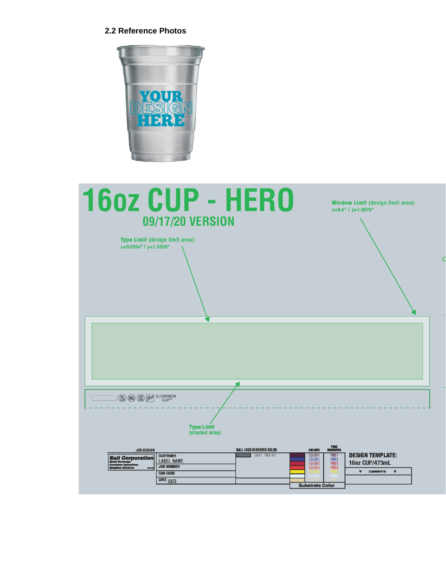#### **2.2 Reference Photos**